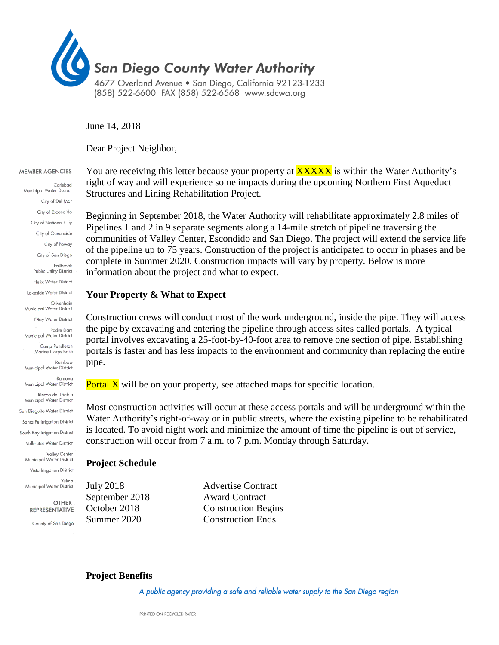

June 14, 2018

Dear Project Neighbor,

#### MEMBER AGENCIES

Carlsbad Municipal Water District City of Del Mar City of Escondido City of National City City of Oceanside City of Poway City of San Diego Fallbrook Public Utility District Helix Water District Lakeside Water District Olivenhain Municipal Water District Otay Water District Padre Dam Municipal Water District Camp Pendleton Marine Corps Base Rainbow Municipal Water District Ramona Municipal Water District Rincon del Diablo Municipal Water District San Dieguito Water District Santa Fe Irrigation District South Bay Irrigation District Vallecitos Water District Valley Center Municipal Water District Vista Irrigation District Yuima Municipal Water District

> **OTHER REPRESENTATIVE** County of San Diego

You are receiving this letter because your property at **XXXXX** is within the Water Authority's right of way and will experience some impacts during the upcoming Northern First Aqueduct Structures and Lining Rehabilitation Project.

Beginning in September 2018, the Water Authority will rehabilitate approximately 2.8 miles of Pipelines 1 and 2 in 9 separate segments along a 14-mile stretch of pipeline traversing the communities of Valley Center, Escondido and San Diego. The project will extend the service life of the pipeline up to 75 years. Construction of the project is anticipated to occur in phases and be complete in Summer 2020. Construction impacts will vary by property. Below is more information about the project and what to expect.

## **Your Property & What to Expect**

Construction crews will conduct most of the work underground, inside the pipe. They will access the pipe by excavating and entering the pipeline through access sites called portals. A typical portal involves excavating a 25-foot-by-40-foot area to remove one section of pipe. Establishing portals is faster and has less impacts to the environment and community than replacing the entire pipe.

**Portal X** will be on your property, see attached maps for specific location.

Most construction activities will occur at these access portals and will be underground within the Water Authority's right-of-way or in public streets, where the existing pipeline to be rehabilitated is located. To avoid night work and minimize the amount of time the pipeline is out of service, construction will occur from 7 a.m. to 7 p.m. Monday through Saturday.

### **Project Schedule**

July 2018 Advertise Contract September 2018 Award Contract October 2018 Construction Begins Summer 2020 Construction Ends

# **Project Benefits**

A public agency providing a safe and reliable water supply to the San Diego region